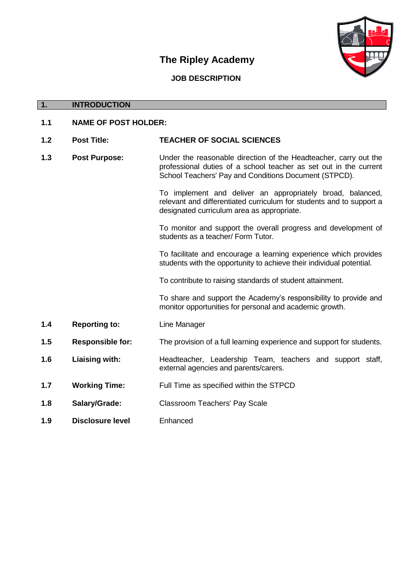## **The Ripley Academy**



## **JOB DESCRIPTION**

## **1. INTRODUCTION 1.1 NAME OF POST HOLDER: 1.2 Post Title: TEACHER OF SOCIAL SCIENCES 1.3 Post Purpose:** Under the reasonable direction of the Headteacher, carry out the professional duties of a school teacher as set out in the current School Teachers' Pay and Conditions Document (STPCD). To implement and deliver an appropriately broad, balanced, relevant and differentiated curriculum for students and to support a designated curriculum area as appropriate. To monitor and support the overall progress and development of students as a teacher/ Form Tutor. To facilitate and encourage a learning experience which provides students with the opportunity to achieve their individual potential. To contribute to raising standards of student attainment. To share and support the Academy's responsibility to provide and monitor opportunities for personal and academic growth. **1.4 Reporting to:** Line Manager **1.5 Responsible for:** The provision of a full learning experience and support for students. **1.6 Liaising with:** Headteacher, Leadership Team, teachers and support staff, external agencies and parents/carers. **1.7 Working Time:** Full Time as specified within the STPCD **1.8 Salary/Grade:** Classroom Teachers' Pay Scale

**1.9 Disclosure level** Enhanced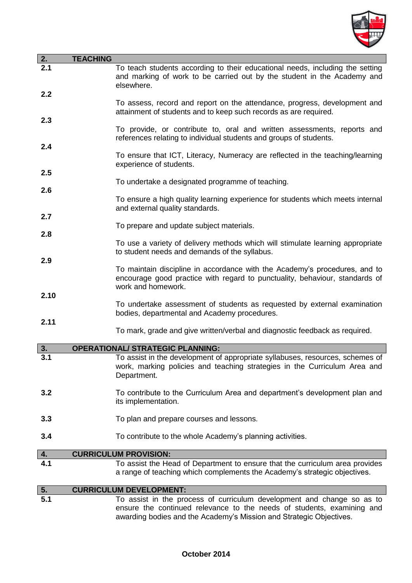

| $\overline{2}$ . | <b>TEACHING</b>                                                                                                                                                                                                         |
|------------------|-------------------------------------------------------------------------------------------------------------------------------------------------------------------------------------------------------------------------|
| $\overline{2.1}$ | To teach students according to their educational needs, including the setting<br>and marking of work to be carried out by the student in the Academy and<br>elsewhere.                                                  |
| 2.2              | To assess, record and report on the attendance, progress, development and<br>attainment of students and to keep such records as are required.                                                                           |
| 2.3              | To provide, or contribute to, oral and written assessments, reports and<br>references relating to individual students and groups of students.                                                                           |
| 2.4              | To ensure that ICT, Literacy, Numeracy are reflected in the teaching/learning<br>experience of students.                                                                                                                |
| 2.5              | To undertake a designated programme of teaching.                                                                                                                                                                        |
| 2.6              | To ensure a high quality learning experience for students which meets internal<br>and external quality standards.                                                                                                       |
| 2.7              | To prepare and update subject materials.                                                                                                                                                                                |
| 2.8              | To use a variety of delivery methods which will stimulate learning appropriate<br>to student needs and demands of the syllabus.                                                                                         |
| 2.9              | To maintain discipline in accordance with the Academy's procedures, and to<br>encourage good practice with regard to punctuality, behaviour, standards of<br>work and homework.                                         |
| 2.10             | To undertake assessment of students as requested by external examination<br>bodies, departmental and Academy procedures.                                                                                                |
| 2.11             | To mark, grade and give written/verbal and diagnostic feedback as required.                                                                                                                                             |
| 3.               | <b>OPERATIONAL/ STRATEGIC PLANNING:</b>                                                                                                                                                                                 |
| 3.1              | To assist in the development of appropriate syllabuses, resources, schemes of<br>work, marking policies and teaching strategies in the Curriculum Area and<br>Department.                                               |
| 3.2              | To contribute to the Curriculum Area and department's development plan and<br>its implementation.                                                                                                                       |
| 3.3              | To plan and prepare courses and lessons.                                                                                                                                                                                |
| 3.4              | To contribute to the whole Academy's planning activities.                                                                                                                                                               |
| 4.               | <b>CURRICULUM PROVISION:</b>                                                                                                                                                                                            |
| 4.1              | To assist the Head of Department to ensure that the curriculum area provides<br>a range of teaching which complements the Academy's strategic objectives.                                                               |
| 5.               | <b>CURRICULUM DEVELOPMENT:</b>                                                                                                                                                                                          |
| 5.1              | To assist in the process of curriculum development and change so as to<br>ensure the continued relevance to the needs of students, examining and<br>awarding bodies and the Academy's Mission and Strategic Objectives. |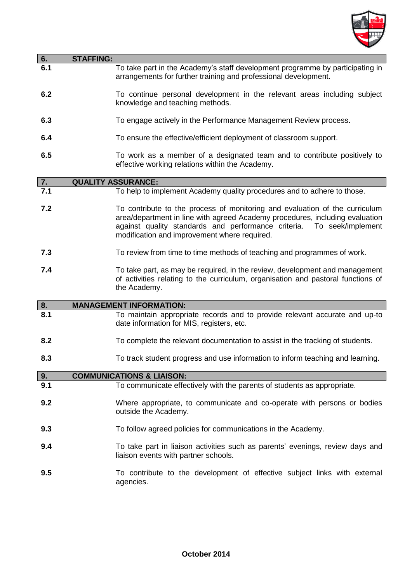

| 6.              | <b>STAFFING:</b>                                                                                                                                                                                                                                                                     |
|-----------------|--------------------------------------------------------------------------------------------------------------------------------------------------------------------------------------------------------------------------------------------------------------------------------------|
| 6.1             | To take part in the Academy's staff development programme by participating in<br>arrangements for further training and professional development.                                                                                                                                     |
| 6.2             | To continue personal development in the relevant areas including subject<br>knowledge and teaching methods.                                                                                                                                                                          |
| 6.3             | To engage actively in the Performance Management Review process.                                                                                                                                                                                                                     |
| 6.4             | To ensure the effective/efficient deployment of classroom support.                                                                                                                                                                                                                   |
| 6.5             | To work as a member of a designated team and to contribute positively to<br>effective working relations within the Academy.                                                                                                                                                          |
|                 | <b>QUALITY ASSURANCE:</b>                                                                                                                                                                                                                                                            |
| $\frac{7}{7.1}$ | To help to implement Academy quality procedures and to adhere to those.                                                                                                                                                                                                              |
| 7.2             | To contribute to the process of monitoring and evaluation of the curriculum<br>area/department in line with agreed Academy procedures, including evaluation<br>against quality standards and performance criteria. To seek/implement<br>modification and improvement where required. |
| 7.3             | To review from time to time methods of teaching and programmes of work.                                                                                                                                                                                                              |
| 7.4             | To take part, as may be required, in the review, development and management<br>of activities relating to the curriculum, organisation and pastoral functions of<br>the Academy.                                                                                                      |
| 8.              | <b>MANAGEMENT INFORMATION:</b>                                                                                                                                                                                                                                                       |
| 8.1             | To maintain appropriate records and to provide relevant accurate and up-to<br>date information for MIS, registers, etc.                                                                                                                                                              |
| 8.2             | To complete the relevant documentation to assist in the tracking of students.                                                                                                                                                                                                        |
| 8.3             | To track student progress and use information to inform teaching and learning.                                                                                                                                                                                                       |
| 9.              | <b>COMMUNICATIONS &amp; LIAISON:</b>                                                                                                                                                                                                                                                 |
| 9.1             | To communicate effectively with the parents of students as appropriate.                                                                                                                                                                                                              |
| 9.2             | Where appropriate, to communicate and co-operate with persons or bodies<br>outside the Academy.                                                                                                                                                                                      |
| 9.3             | To follow agreed policies for communications in the Academy.                                                                                                                                                                                                                         |
| 9.4             | To take part in liaison activities such as parents' evenings, review days and<br>liaison events with partner schools.                                                                                                                                                                |
| 9.5             | To contribute to the development of effective subject links with external<br>agencies.                                                                                                                                                                                               |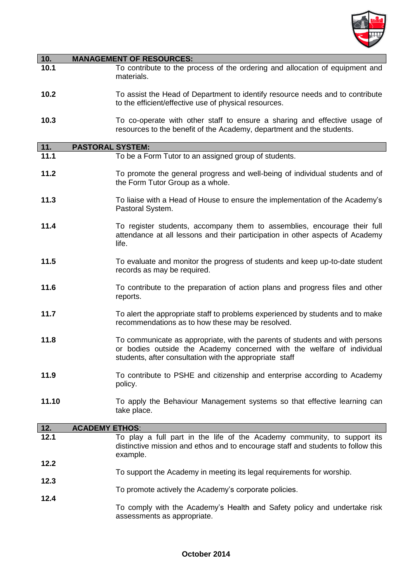

| 10.          | <b>MANAGEMENT OF RESOURCES:</b>                                                                                                                                                                                   |
|--------------|-------------------------------------------------------------------------------------------------------------------------------------------------------------------------------------------------------------------|
| 10.1         | To contribute to the process of the ordering and allocation of equipment and<br>materials.                                                                                                                        |
| 10.2         | To assist the Head of Department to identify resource needs and to contribute<br>to the efficient/effective use of physical resources.                                                                            |
| 10.3         | To co-operate with other staff to ensure a sharing and effective usage of<br>resources to the benefit of the Academy, department and the students.                                                                |
| $\boxed{11}$ | <b>PASTORAL SYSTEM:</b>                                                                                                                                                                                           |
| 11.1         | To be a Form Tutor to an assigned group of students.                                                                                                                                                              |
| 11.2         | To promote the general progress and well-being of individual students and of<br>the Form Tutor Group as a whole.                                                                                                  |
| 11.3         | To liaise with a Head of House to ensure the implementation of the Academy's<br>Pastoral System.                                                                                                                  |
| 11.4         | To register students, accompany them to assemblies, encourage their full<br>attendance at all lessons and their participation in other aspects of Academy<br>life.                                                |
| 11.5         | To evaluate and monitor the progress of students and keep up-to-date student<br>records as may be required.                                                                                                       |
| 11.6         | To contribute to the preparation of action plans and progress files and other<br>reports.                                                                                                                         |
| 11.7         | To alert the appropriate staff to problems experienced by students and to make<br>recommendations as to how these may be resolved.                                                                                |
| 11.8         | To communicate as appropriate, with the parents of students and with persons<br>or bodies outside the Academy concerned with the welfare of individual<br>students, after consultation with the appropriate staff |
| 11.9         | To contribute to PSHE and citizenship and enterprise according to Academy<br>policy.                                                                                                                              |
| 11.10        | To apply the Behaviour Management systems so that effective learning can<br>take place.                                                                                                                           |
| $12.$        | <b>ACADEMY ETHOS:</b>                                                                                                                                                                                             |
| 12.1         | To play a full part in the life of the Academy community, to support its<br>distinctive mission and ethos and to encourage staff and students to follow this<br>example.                                          |
| 12.2         | To support the Academy in meeting its legal requirements for worship.                                                                                                                                             |
| 12.3         | To promote actively the Academy's corporate policies.                                                                                                                                                             |
| 12.4         | To comply with the Academy's Health and Safety policy and undertake risk<br>assessments as appropriate.                                                                                                           |